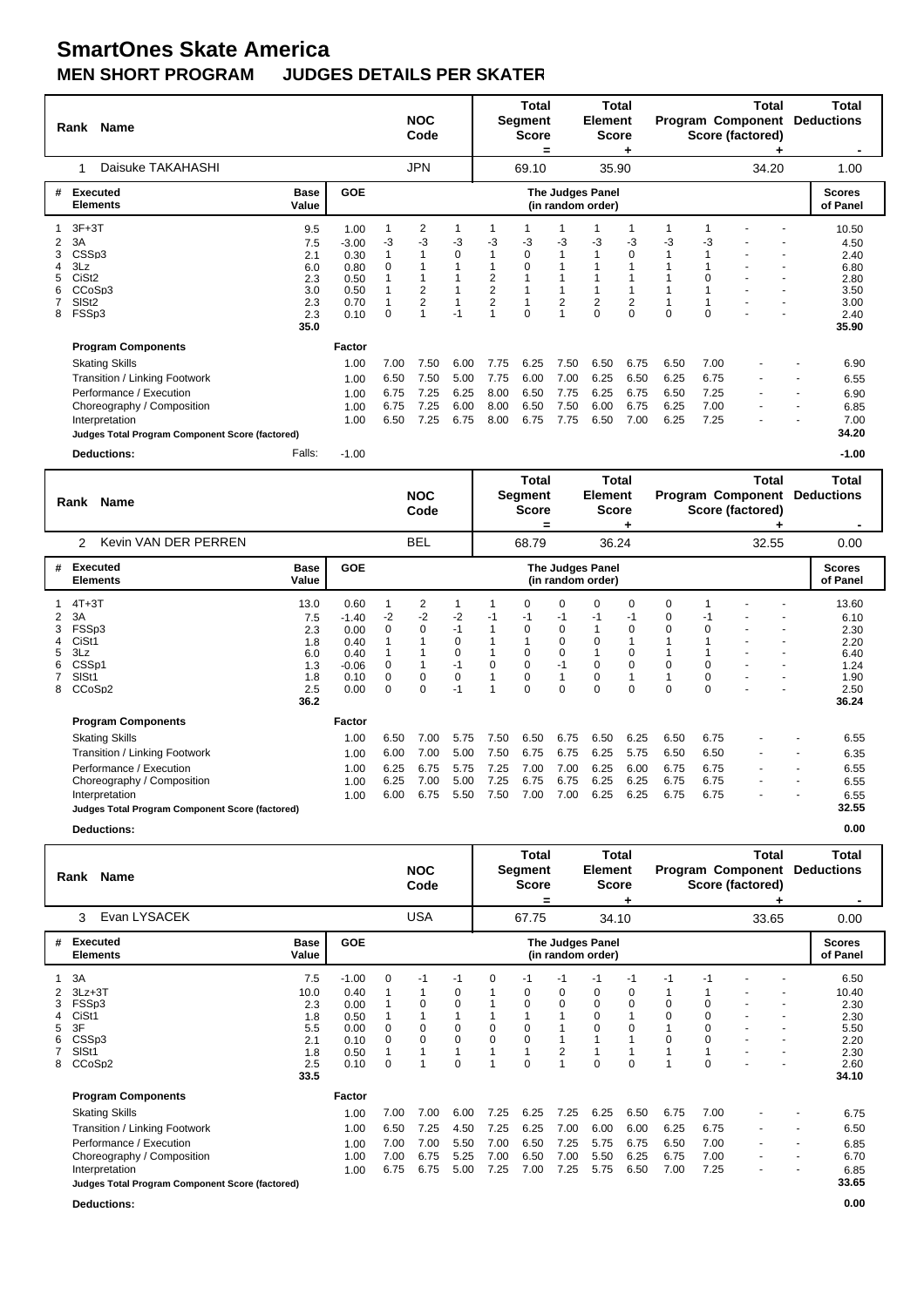## **SmartOnes Skate America**<br>MEN SHORT PROGRAM JUDGI **JUDGES DETAILS PER SKATER**

|   | <b>Name</b><br>Rank                             |                      |              |      | <b>NOC</b><br>Code      |      |                                            | Total<br>Segment<br><b>Score</b><br>= |                | Total<br>Element<br><b>Score</b>             |                |          |          | Total<br><b>Program Component</b><br>Score (factored) | Total<br><b>Deductions</b> |
|---|-------------------------------------------------|----------------------|--------------|------|-------------------------|------|--------------------------------------------|---------------------------------------|----------------|----------------------------------------------|----------------|----------|----------|-------------------------------------------------------|----------------------------|
|   | Daisuke TAKAHASHI<br>1                          |                      |              |      | <b>JPN</b>              |      |                                            | 69.10                                 |                | 35.90                                        |                |          |          | 34.20                                                 | 1.00                       |
| # | <b>Executed</b><br><b>Elements</b>              | <b>Base</b><br>Value | <b>GOE</b>   |      |                         |      |                                            |                                       |                | <b>The Judges Panel</b><br>(in random order) |                |          |          |                                                       | <b>Scores</b><br>of Panel  |
|   | $3F+3T$                                         | 9.5                  | 1.00         |      | 2                       |      |                                            |                                       |                |                                              |                |          |          |                                                       | 10.50                      |
| 2 | 3A                                              | 7.5                  | $-3.00$      | -3   | $-3$                    | -3   | -3                                         | -3                                    | -3             | -3                                           | -3             | -3       | -3       |                                                       | 4.50                       |
| 3 | CSSp3                                           | 2.1                  | 0.30         |      |                         | 0    |                                            | $\mathbf 0$                           |                |                                              | $\mathbf 0$    |          |          |                                                       | 2.40                       |
| 4 | 3Lz<br>CiSt <sub>2</sub>                        | 6.0                  | 0.80         | 0    |                         |      |                                            | 0                                     |                |                                              |                |          | $\Omega$ |                                                       | 6.80                       |
| 6 | CCoSp3                                          | 2.3<br>3.0           | 0.50<br>0.50 |      | $\overline{\mathbf{c}}$ |      | $\begin{array}{c} 2 \\ 2 \\ 2 \end{array}$ |                                       |                |                                              |                |          |          | $\blacksquare$                                        | 2.80<br>3.50               |
|   | SISt <sub>2</sub>                               | 2.3                  | 0.70         |      |                         |      |                                            | 1                                     | $\overline{2}$ | $\overline{2}$                               | $\overline{2}$ |          |          |                                                       | 3.00                       |
| 8 | FSSp3                                           | 2.3                  | 0.10         | 0    |                         | $-1$ | $\overline{1}$                             | $\Omega$                              |                | $\Omega$                                     | $\Omega$       | $\Omega$ | $\Omega$ |                                                       | 2.40                       |
|   |                                                 | 35.0                 |              |      |                         |      |                                            |                                       |                |                                              |                |          |          |                                                       | 35.90                      |
|   | <b>Program Components</b>                       |                      | Factor       |      |                         |      |                                            |                                       |                |                                              |                |          |          |                                                       |                            |
|   | <b>Skating Skills</b>                           |                      | 1.00         | 7.00 | 7.50                    | 6.00 | 7.75                                       | 6.25                                  | 7.50           | 6.50                                         | 6.75           | 6.50     | 7.00     |                                                       | 6.90                       |
|   | Transition / Linking Footwork                   |                      | 1.00         | 6.50 | 7.50                    | 5.00 | 7.75                                       | 6.00                                  | 7.00           | 6.25                                         | 6.50           | 6.25     | 6.75     | $\blacksquare$                                        | 6.55                       |
|   | Performance / Execution                         |                      | 1.00         | 6.75 | 7.25                    | 6.25 | 8.00                                       | 6.50                                  | 7.75           | 6.25                                         | 6.75           | 6.50     | 7.25     |                                                       | 6.90                       |
|   | Choreography / Composition                      |                      | 1.00         | 6.75 | 7.25                    | 6.00 | 8.00                                       | 6.50                                  | 7.50           | 6.00                                         | 6.75           | 6.25     | 7.00     |                                                       | 6.85                       |
|   | Interpretation                                  |                      | 1.00         | 6.50 | 7.25                    | 6.75 | 8.00                                       | 6.75                                  | 7.75           | 6.50                                         | 7.00           | 6.25     | 7.25     |                                                       | 7.00                       |
|   | Judges Total Program Component Score (factored) |                      |              |      |                         |      |                                            |                                       |                |                                              |                |          |          |                                                       | 34.20                      |
|   | <b>Deductions:</b>                              | Falls:               | $-1.00$      |      |                         |      |                                            |                                       |                |                                              |                |          |          |                                                       | $-1.00$                    |
|   |                                                 |                      |              |      |                         |      |                                            | T <sub>ofol</sub>                     |                | T <sub>ofol</sub>                            |                |          |          | T <sub>ofol</sub>                                     | T <sub>ofol</sub>          |

| Rank    | Name                                                                                                                                                                                                              |                                                               |                                                                    |                                      | <b>NOC</b><br>Code                   |                                                     |                                      | ı otal<br>Segment<br><b>Score</b><br>=                   |                                      | i otal<br>Element<br><b>Score</b>                          |                                              |                                      |                                      | ι otal<br><b>Program Component</b><br>Score (factored) |                          | ı otal<br><b>Deductions</b>                                            |
|---------|-------------------------------------------------------------------------------------------------------------------------------------------------------------------------------------------------------------------|---------------------------------------------------------------|--------------------------------------------------------------------|--------------------------------------|--------------------------------------|-----------------------------------------------------|--------------------------------------|----------------------------------------------------------|--------------------------------------|------------------------------------------------------------|----------------------------------------------|--------------------------------------|--------------------------------------|--------------------------------------------------------|--------------------------|------------------------------------------------------------------------|
|         | Kevin VAN DER PERREN<br>$\mathcal{P}$                                                                                                                                                                             |                                                               |                                                                    |                                      | <b>BEL</b>                           |                                                     |                                      | 68.79                                                    |                                      | 36.24                                                      |                                              |                                      |                                      | 32.55                                                  |                          | 0.00                                                                   |
| #       | Executed<br><b>Elements</b>                                                                                                                                                                                       | <b>Base</b><br>Value                                          | <b>GOE</b>                                                         |                                      |                                      |                                                     |                                      |                                                          |                                      | <b>The Judges Panel</b><br>(in random order)               |                                              |                                      |                                      |                                                        |                          | <b>Scores</b><br>of Panel                                              |
| 3A<br>8 | $4T+3T$<br>FSSp3<br>CiSt1<br>3Lz<br>CSSp1<br>SISt1<br>CCoSp2                                                                                                                                                      | 13.0<br>7.5<br>2.3<br>1.8<br>6.0<br>1.3<br>1.8<br>2.5<br>36.2 | 0.60<br>$-1.40$<br>0.00<br>0.40<br>0.40<br>$-0.06$<br>0.10<br>0.00 | -2<br>$\Omega$<br>0<br>$\Omega$<br>0 | 2<br>$-2$<br>0<br>0<br>0             | $-2$<br>$-1$<br>0<br>0<br>$-1$<br>$\pmb{0}$<br>$-1$ | -1<br>0                              | $\Omega$<br>-1<br>0<br>$\Omega$<br>0<br>0<br>$\mathbf 0$ | 0<br>-1<br>0<br>0<br>0<br>$-1$<br>0  | $\Omega$<br>-1<br>$\Omega$<br>$\Omega$<br>0<br>$\mathbf 0$ | 0<br>-1<br>0<br>0<br>$\Omega$<br>$\mathbf 0$ | 0<br>0<br>0                          | -1<br>0<br>$\Omega$<br>$\Omega$      |                                                        |                          | 13.60<br>6.10<br>2.30<br>2.20<br>6.40<br>1.24<br>1.90<br>2.50<br>36.24 |
|         | <b>Program Components</b><br><b>Skating Skills</b><br>Transition / Linking Footwork<br>Performance / Execution<br>Choreography / Composition<br>Interpretation<br>Judges Total Program Component Score (factored) |                                                               | Factor<br>1.00<br>1.00<br>1.00<br>1.00<br>1.00                     | 6.50<br>6.00<br>6.25<br>6.25<br>6.00 | 7.00<br>7.00<br>6.75<br>7.00<br>6.75 | 5.75<br>5.00<br>5.75<br>5.00<br>5.50                | 7.50<br>7.50<br>7.25<br>7.25<br>7.50 | 6.50<br>6.75<br>7.00<br>6.75<br>7.00                     | 6.75<br>6.75<br>7.00<br>6.75<br>7.00 | 6.50<br>6.25<br>6.25<br>6.25<br>6.25                       | 6.25<br>5.75<br>6.00<br>6.25<br>6.25         | 6.50<br>6.50<br>6.75<br>6.75<br>6.75 | 6.75<br>6.50<br>6.75<br>6.75<br>6.75 |                                                        | $\overline{\phantom{a}}$ | 6.55<br>6.35<br>6.55<br>6.55<br>6.55<br>32.55                          |

**Deductions: 0.00**

|        | Name<br>Rank                                                                                                                                                                                                      |                                                               |                                                                 |                                      | <b>NOC</b><br>Code                   |                                      |                                             | Total<br>Segment<br><b>Score</b><br>=                  |                                      | Total<br>Element<br><b>Score</b>            |                                                   |                                      |                                      | <b>Total</b><br>Program Component<br>Score (factored) | Total<br><b>Deductions</b>                                             |
|--------|-------------------------------------------------------------------------------------------------------------------------------------------------------------------------------------------------------------------|---------------------------------------------------------------|-----------------------------------------------------------------|--------------------------------------|--------------------------------------|--------------------------------------|---------------------------------------------|--------------------------------------------------------|--------------------------------------|---------------------------------------------|---------------------------------------------------|--------------------------------------|--------------------------------------|-------------------------------------------------------|------------------------------------------------------------------------|
|        | Evan LYSACEK<br>3                                                                                                                                                                                                 |                                                               |                                                                 |                                      | <b>USA</b>                           |                                      |                                             | 67.75                                                  |                                      | 34.10                                       |                                                   |                                      |                                      | 33.65                                                 | 0.00                                                                   |
| #      | Executed<br><b>Elements</b>                                                                                                                                                                                       | <b>Base</b><br>Value                                          | <b>GOE</b>                                                      |                                      |                                      |                                      |                                             |                                                        |                                      | The Judges Panel<br>(in random order)       |                                                   |                                      |                                      |                                                       | <b>Scores</b><br>of Panel                                              |
| 5<br>8 | 3A<br>$3Lz + 3T$<br>FSSp3<br>CiSt1<br>3F<br>CSSp3<br>SISt1<br>CCoSp2                                                                                                                                              | 7.5<br>10.0<br>2.3<br>1.8<br>5.5<br>2.1<br>1.8<br>2.5<br>33.5 | $-1.00$<br>0.40<br>0.00<br>0.50<br>0.00<br>0.10<br>0.50<br>0.10 | 0<br>0<br>$\Omega$<br>$\Omega$       | -1<br>0<br>0<br>$\Omega$             | $-1$<br>0<br>0<br>0<br>0<br>$\Omega$ | $\Omega$<br>0<br>$\Omega$<br>$\overline{ }$ | -1<br>0<br>$\mathbf 0$<br>0<br>$\mathbf 0$<br>$\Omega$ | $-1$<br>0<br>0<br>2                  | $-1$<br>0<br>0<br>$\Omega$<br>0<br>$\Omega$ | -1<br>0<br>$\mathbf 0$<br>$\mathbf 0$<br>$\Omega$ | -1<br>0<br>$\Omega$<br>$\Omega$      | -1<br>0<br>0<br>0<br>$\Omega$<br>0   |                                                       | 6.50<br>10.40<br>2.30<br>2.30<br>5.50<br>2.20<br>2.30<br>2.60<br>34.10 |
|        | <b>Program Components</b><br><b>Skating Skills</b><br>Transition / Linking Footwork<br>Performance / Execution<br>Choreography / Composition<br>Interpretation<br>Judges Total Program Component Score (factored) |                                                               | Factor<br>1.00<br>1.00<br>1.00<br>1.00<br>1.00                  | 7.00<br>6.50<br>7.00<br>7.00<br>6.75 | 7.00<br>7.25<br>7.00<br>6.75<br>6.75 | 6.00<br>4.50<br>5.50<br>5.25<br>5.00 | 7.25<br>7.25<br>7.00<br>7.00<br>7.25        | 6.25<br>6.25<br>6.50<br>6.50<br>7.00                   | 7.25<br>7.00<br>7.25<br>7.00<br>7.25 | 6.25<br>6.00<br>5.75<br>5.50<br>5.75        | 6.50<br>6.00<br>6.75<br>6.25<br>6.50              | 6.75<br>6.25<br>6.50<br>6.75<br>7.00 | 7.00<br>6.75<br>7.00<br>7.00<br>7.25 |                                                       | 6.75<br>6.50<br>6.85<br>6.70<br>6.85<br>33.65                          |
|        | <b>Deductions:</b>                                                                                                                                                                                                |                                                               |                                                                 |                                      |                                      |                                      |                                             |                                                        |                                      |                                             |                                                   |                                      |                                      |                                                       | 0.00                                                                   |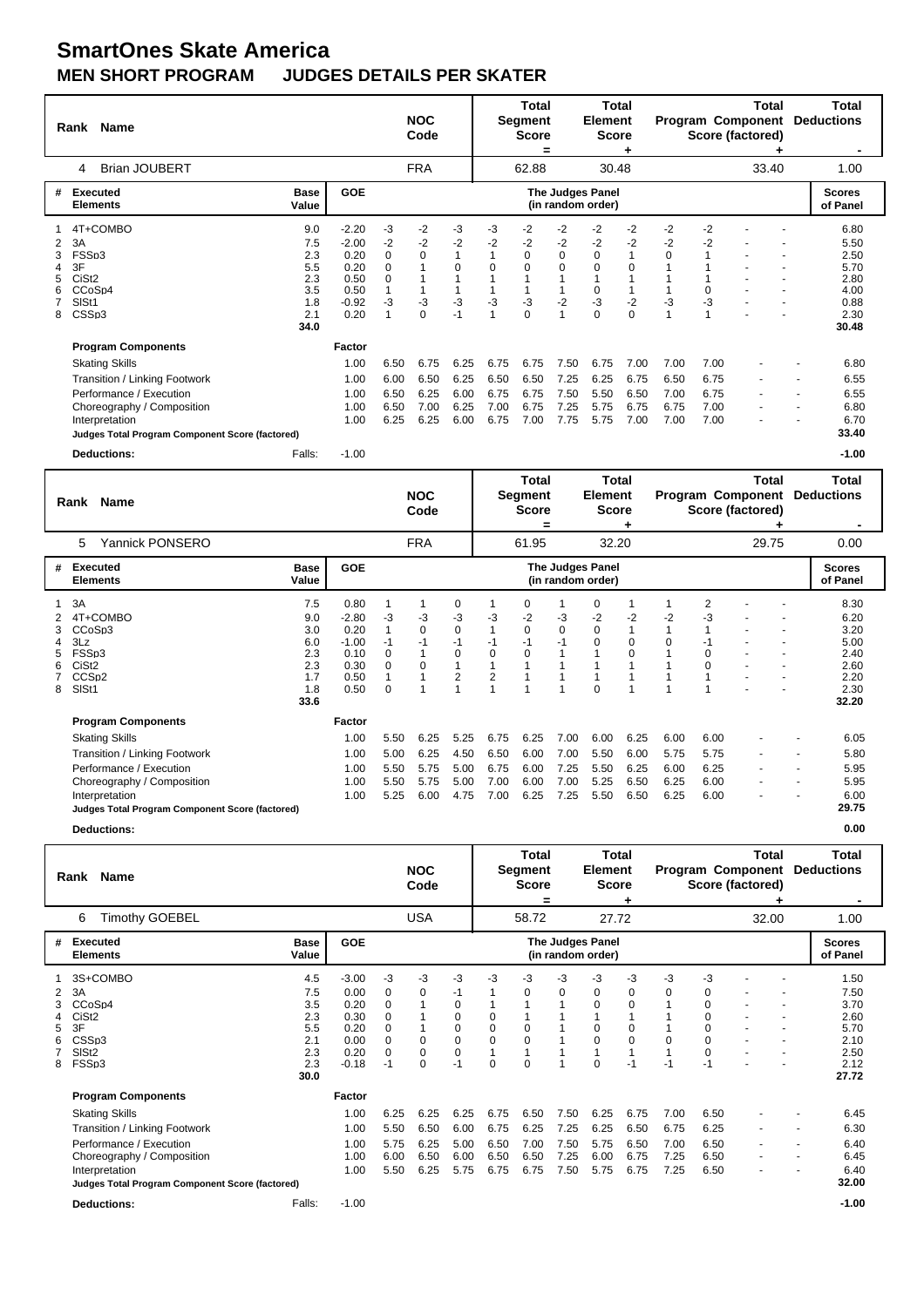## **SmartOnes Skate America MEN SHORT PROGRAM JUDGES DETAILS PER SKATER**

|                            | Rank Name                                                                                                                                                                                                         |                                                              |                                                                       |                                                      | <b>NOC</b><br>Code                   |                                      |                                      | <b>Total</b><br><b>Segment</b><br><b>Score</b><br>=            |                                      | Total<br>Element<br><b>Score</b>                                      |                                                               |                                      |                                      | Total<br><b>Program Component</b><br>Score (factored) | Total<br><b>Deductions</b>                                            |
|----------------------------|-------------------------------------------------------------------------------------------------------------------------------------------------------------------------------------------------------------------|--------------------------------------------------------------|-----------------------------------------------------------------------|------------------------------------------------------|--------------------------------------|--------------------------------------|--------------------------------------|----------------------------------------------------------------|--------------------------------------|-----------------------------------------------------------------------|---------------------------------------------------------------|--------------------------------------|--------------------------------------|-------------------------------------------------------|-----------------------------------------------------------------------|
|                            | <b>Brian JOUBERT</b><br>4                                                                                                                                                                                         |                                                              |                                                                       |                                                      | <b>FRA</b>                           |                                      |                                      | 62.88                                                          |                                      | 30.48                                                                 |                                                               |                                      |                                      | 33.40                                                 | 1.00                                                                  |
| #                          | Executed<br><b>Elements</b>                                                                                                                                                                                       | <b>Base</b><br>Value                                         | GOE                                                                   |                                                      |                                      |                                      |                                      |                                                                |                                      | The Judges Panel<br>(in random order)                                 |                                                               |                                      |                                      |                                                       | <b>Scores</b><br>of Panel                                             |
| 2<br>3<br>4<br>5<br>6<br>8 | 4T+COMBO<br>3A<br>FSSp3<br>3F<br>CiSt <sub>2</sub><br>CCoSp4<br>SISt1<br>CSS <sub>p3</sub>                                                                                                                        | 9.0<br>7.5<br>2.3<br>5.5<br>2.3<br>3.5<br>1.8<br>2.1<br>34.0 | $-2.20$<br>$-2.00$<br>0.20<br>0.20<br>0.50<br>0.50<br>$-0.92$<br>0.20 | $-3$<br>$-2$<br>$\mathbf 0$<br>$\Omega$<br>0<br>$-3$ | $-2$<br>-2<br>0<br>-3<br>0           | -3<br>$-2$<br>$\Omega$<br>-3<br>$-1$ | -3<br>-2<br>$\Omega$<br>-3           | $-2$<br>$-2$<br>$\mathbf 0$<br>$\Omega$<br>$-3$<br>$\mathbf 0$ | -2<br>-2<br>0<br>$\Omega$<br>$-2$    | -2<br>$-2$<br>$\mathbf 0$<br>$\Omega$<br>$\Omega$<br>$-3$<br>$\Omega$ | $-2$<br>-2<br>$\mathbf{1}$<br>$\Omega$<br>$-2$<br>$\mathbf 0$ | $-2$<br>$-2$<br>$\Omega$<br>-3<br>1  | $-2$<br>$-2$<br>$\Omega$<br>-3       |                                                       | 6.80<br>5.50<br>2.50<br>5.70<br>2.80<br>4.00<br>0.88<br>2.30<br>30.48 |
|                            | <b>Program Components</b><br><b>Skating Skills</b><br>Transition / Linking Footwork<br>Performance / Execution<br>Choreography / Composition<br>Interpretation<br>Judges Total Program Component Score (factored) |                                                              | Factor<br>1.00<br>1.00<br>1.00<br>1.00<br>1.00                        | 6.50<br>6.00<br>6.50<br>6.50<br>6.25                 | 6.75<br>6.50<br>6.25<br>7.00<br>6.25 | 6.25<br>6.25<br>6.00<br>6.25<br>6.00 | 6.75<br>6.50<br>6.75<br>7.00<br>6.75 | 6.75<br>6.50<br>6.75<br>6.75<br>7.00                           | 7.50<br>7.25<br>7.50<br>7.25<br>7.75 | 6.75<br>6.25<br>5.50<br>5.75<br>5.75                                  | 7.00<br>6.75<br>6.50<br>6.75<br>7.00                          | 7.00<br>6.50<br>7.00<br>6.75<br>7.00 | 7.00<br>6.75<br>6.75<br>7.00<br>7.00 |                                                       | 6.80<br>6.55<br>6.55<br>6.80<br>6.70<br>33.40                         |
|                            | <b>Deductions:</b>                                                                                                                                                                                                | Falls:                                                       | $-1.00$                                                               |                                                      |                                      |                                      |                                      |                                                                |                                      |                                                                       |                                                               |                                      |                                      |                                                       | $-1.00$                                                               |

|   | Name<br>Rank                                                                                                                                                                                                      |                                                              |                                                                    |                                       | <b>NOC</b><br>Code                   |                                                     |                                      | Total<br>Segment<br><b>Score</b><br>= |                                      | <b>Total</b><br>Element<br><b>Score</b> |                                      |                                      |                                      | Total<br>Program Component<br>Score (factored) |   | Total<br><b>Deductions</b>                                            |
|---|-------------------------------------------------------------------------------------------------------------------------------------------------------------------------------------------------------------------|--------------------------------------------------------------|--------------------------------------------------------------------|---------------------------------------|--------------------------------------|-----------------------------------------------------|--------------------------------------|---------------------------------------|--------------------------------------|-----------------------------------------|--------------------------------------|--------------------------------------|--------------------------------------|------------------------------------------------|---|-----------------------------------------------------------------------|
|   | Yannick PONSERO<br>5                                                                                                                                                                                              |                                                              |                                                                    |                                       | <b>FRA</b>                           |                                                     |                                      | 61.95                                 |                                      | 32.20                                   |                                      |                                      |                                      | 29.75                                          |   | 0.00                                                                  |
| # | Executed<br><b>Elements</b>                                                                                                                                                                                       | <b>Base</b><br>Value                                         | <b>GOE</b>                                                         |                                       |                                      |                                                     |                                      |                                       |                                      | The Judges Panel<br>(in random order)   |                                      |                                      |                                      |                                                |   | <b>Scores</b><br>of Panel                                             |
| 8 | 3A<br>4T+COMBO<br>CCoSp3<br>3Lz<br>FSSp3<br>CiSt <sub>2</sub><br>CCS <sub>D2</sub><br>SISt1                                                                                                                       | 7.5<br>9.0<br>3.0<br>6.0<br>2.3<br>2.3<br>1.7<br>1.8<br>33.6 | 0.80<br>$-2.80$<br>0.20<br>$-1.00$<br>0.10<br>0.30<br>0.50<br>0.50 | -3<br>-1<br>0<br>$\Omega$<br>$\Omega$ | $-3$<br>0<br>0                       | 0<br>-3<br>$\overline{0}$<br>-1<br>$\mathbf 0$<br>2 | $-3$<br>-1<br>0<br>2                 | 0<br>$-2$<br>$\mathbf 0$<br>-1<br>0   | $-3$<br>0<br>-1                      | 0<br>-2<br>$\Omega$<br>0<br>$\Omega$    | $-2$<br>$\mathbf{1}$<br>0<br>0       | -2<br>0                              | 2<br>-3<br>-1<br>0<br>$\Omega$       |                                                |   | 8.30<br>6.20<br>3.20<br>5.00<br>2.40<br>2.60<br>2.20<br>2.30<br>32.20 |
|   | <b>Program Components</b><br><b>Skating Skills</b><br>Transition / Linking Footwork<br>Performance / Execution<br>Choreography / Composition<br>Interpretation<br>Judges Total Program Component Score (factored) |                                                              | Factor<br>1.00<br>1.00<br>1.00<br>1.00<br>1.00                     | 5.50<br>5.00<br>5.50<br>5.50<br>5.25  | 6.25<br>6.25<br>5.75<br>5.75<br>6.00 | 5.25<br>4.50<br>5.00<br>5.00<br>4.75                | 6.75<br>6.50<br>6.75<br>7.00<br>7.00 | 6.25<br>6.00<br>6.00<br>6.00<br>6.25  | 7.00<br>7.00<br>7.25<br>7.00<br>7.25 | 6.00<br>5.50<br>5.50<br>5.25<br>5.50    | 6.25<br>6.00<br>6.25<br>6.50<br>6.50 | 6.00<br>5.75<br>6.00<br>6.25<br>6.25 | 6.00<br>5.75<br>6.25<br>6.00<br>6.00 |                                                | ٠ | 6.05<br>5.80<br>5.95<br>5.95<br>6.00<br>29.75                         |

**Deductions: 0.00**

|             | Rank Name                                                                                                                                                                                                                               |                                                              |                                                                    |                                                                     | <b>NOC</b><br>Code                           |                                                                     |                                                  | Total<br>Segment<br><b>Score</b><br>=   |                                      | Total<br>Element<br><b>Score</b>          |                                                                |                                      |                                                                           | Total<br><b>Program Component</b><br>Score (factored) |                | Total<br><b>Deductions</b>                                            |
|-------------|-----------------------------------------------------------------------------------------------------------------------------------------------------------------------------------------------------------------------------------------|--------------------------------------------------------------|--------------------------------------------------------------------|---------------------------------------------------------------------|----------------------------------------------|---------------------------------------------------------------------|--------------------------------------------------|-----------------------------------------|--------------------------------------|-------------------------------------------|----------------------------------------------------------------|--------------------------------------|---------------------------------------------------------------------------|-------------------------------------------------------|----------------|-----------------------------------------------------------------------|
|             | Timothy GOEBEL<br>6                                                                                                                                                                                                                     |                                                              |                                                                    |                                                                     | <b>USA</b>                                   |                                                                     |                                                  | 58.72                                   |                                      | 27.72                                     |                                                                |                                      |                                                                           | 32.00                                                 |                | 1.00                                                                  |
| #           | Executed<br><b>Elements</b>                                                                                                                                                                                                             | <b>Base</b><br>Value                                         | <b>GOE</b>                                                         |                                                                     |                                              |                                                                     |                                                  |                                         |                                      | The Judges Panel<br>(in random order)     |                                                                |                                      |                                                                           |                                                       |                | <b>Scores</b><br>of Panel                                             |
| 2<br>5<br>8 | 3S+COMBO<br>3A<br>CCoSp4<br>CiSt <sub>2</sub><br>3F<br>CSSp3<br>SIS <sub>t2</sub><br>FSSp3                                                                                                                                              | 4.5<br>7.5<br>3.5<br>2.3<br>5.5<br>2.1<br>2.3<br>2.3<br>30.0 | $-3.00$<br>0.00<br>0.20<br>0.30<br>0.20<br>0.00<br>0.20<br>$-0.18$ | -3<br>0<br>$\mathbf 0$<br>0<br>0<br>$\Omega$<br>$\mathbf 0$<br>$-1$ | $-3$<br>0<br>$\overline{0}$<br>0<br>$\Omega$ | -3<br>-1<br>0<br>$\overline{0}$<br>0<br>$\overline{0}$<br>0<br>$-1$ | $-3$<br>$\mathbf 0$<br>0<br>$\Omega$<br>$\Omega$ | -3<br>0<br>$\mathbf 0$<br>$\Omega$<br>0 | $-3$<br>0<br>$\overline{1}$          | -3<br>0<br>0<br>0<br>$\Omega$<br>$\Omega$ | $-3$<br>0<br>$\mathbf 0$<br>1<br>0<br>$\mathbf 0$<br>1<br>$-1$ | $-3$<br>0<br>$\Omega$<br>$-1$        | $-3$<br>0<br>$\Omega$<br>$\Omega$<br>0<br>$\Omega$<br>$\mathbf 0$<br>$-1$ |                                                       |                | 1.50<br>7.50<br>3.70<br>2.60<br>5.70<br>2.10<br>2.50<br>2.12<br>27.72 |
|             | <b>Program Components</b><br><b>Skating Skills</b><br>Transition / Linking Footwork<br>Performance / Execution<br>Choreography / Composition<br>Interpretation<br>Judges Total Program Component Score (factored)<br><b>Deductions:</b> | Falls:                                                       | Factor<br>1.00<br>1.00<br>1.00<br>1.00<br>1.00<br>$-1.00$          | 6.25<br>5.50<br>5.75<br>6.00<br>5.50                                | 6.25<br>6.50<br>6.25<br>6.50<br>6.25         | 6.25<br>6.00<br>5.00<br>6.00<br>5.75                                | 6.75<br>6.75<br>6.50<br>6.50<br>6.75             | 6.50<br>6.25<br>7.00<br>6.50<br>6.75    | 7.50<br>7.25<br>7.50<br>7.25<br>7.50 | 6.25<br>6.25<br>5.75<br>6.00<br>5.75      | 6.75<br>6.50<br>6.50<br>6.75<br>6.75                           | 7.00<br>6.75<br>7.00<br>7.25<br>7.25 | 6.50<br>6.25<br>6.50<br>6.50<br>6.50                                      |                                                       | $\blacksquare$ | 6.45<br>6.30<br>6.40<br>6.45<br>6.40<br>32.00<br>$-1.00$              |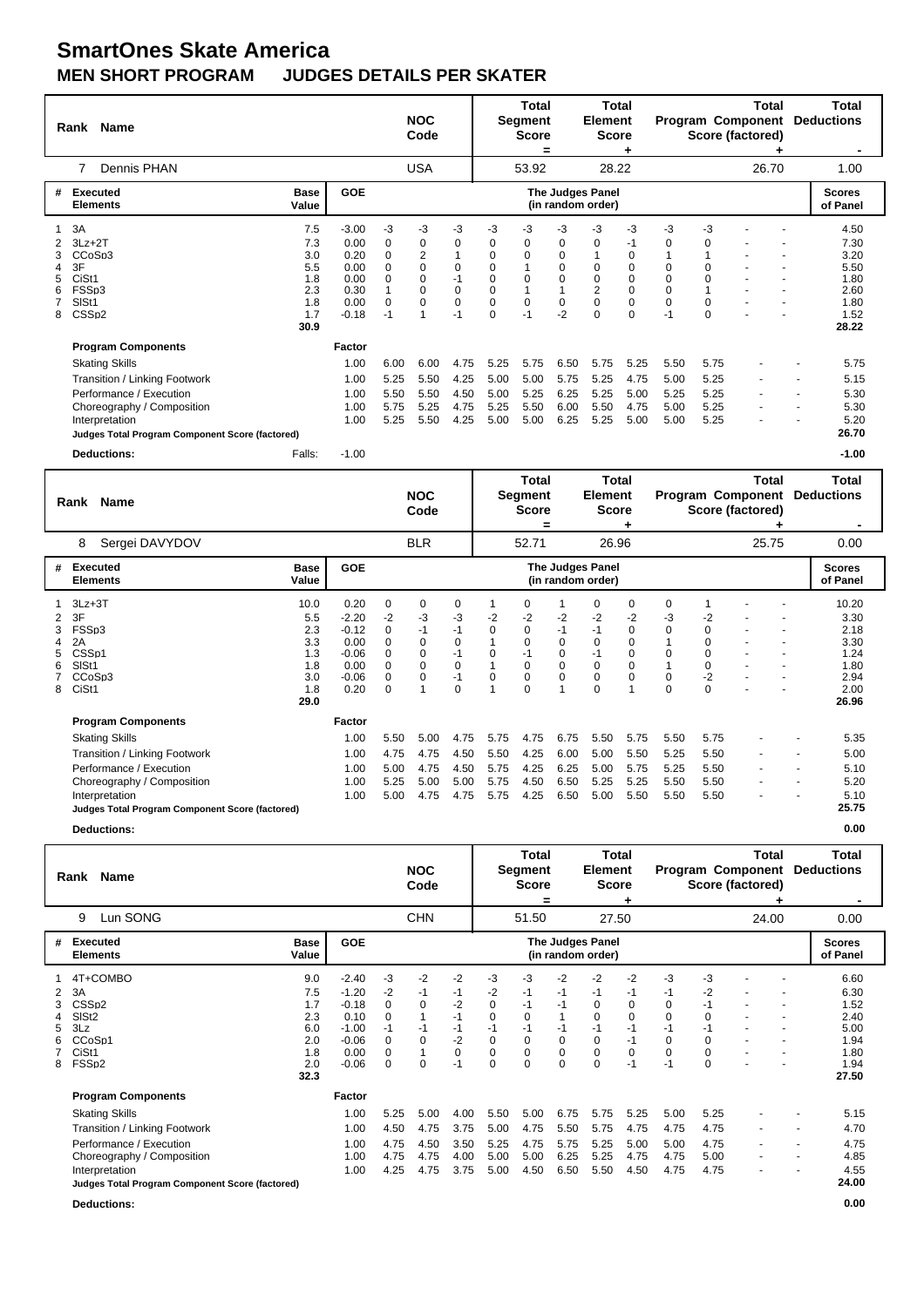## **SmartOnes Skate America MEN SHORT PROGRAM JUDGES DETAILS PER SKATER**

|                            | Rank Name                                                                                                                                                                                                         |                                                              |                                                                    |                                                               | <b>NOC</b><br>Code                      |                                                              |                                                                                       | <b>Total</b><br><b>Segment</b><br><b>Score</b><br>=          |                                               | Total<br>Element<br><b>Score</b>                                          |                                                                                          |                                                     |                                                     | Total<br><b>Program Component</b><br>Score (factored) |   | Total<br><b>Deductions</b>                                            |
|----------------------------|-------------------------------------------------------------------------------------------------------------------------------------------------------------------------------------------------------------------|--------------------------------------------------------------|--------------------------------------------------------------------|---------------------------------------------------------------|-----------------------------------------|--------------------------------------------------------------|---------------------------------------------------------------------------------------|--------------------------------------------------------------|-----------------------------------------------|---------------------------------------------------------------------------|------------------------------------------------------------------------------------------|-----------------------------------------------------|-----------------------------------------------------|-------------------------------------------------------|---|-----------------------------------------------------------------------|
|                            | Dennis PHAN<br>7                                                                                                                                                                                                  |                                                              |                                                                    |                                                               | <b>USA</b>                              |                                                              |                                                                                       | 53.92                                                        |                                               | 28.22                                                                     |                                                                                          |                                                     |                                                     | 26.70                                                 |   | 1.00                                                                  |
| #                          | Executed<br><b>Elements</b>                                                                                                                                                                                       | <b>Base</b><br>Value                                         | <b>GOE</b>                                                         |                                                               |                                         |                                                              |                                                                                       |                                                              |                                               | The Judges Panel<br>(in random order)                                     |                                                                                          |                                                     |                                                     |                                                       |   | <b>Scores</b><br>of Panel                                             |
| 1<br>3<br>4<br>5<br>6<br>8 | 3A<br>$3Lz + 2T$<br>CCoSp3<br>3F<br>CiSt1<br>FSSp3<br>SISt1<br>CSSp2                                                                                                                                              | 7.5<br>7.3<br>3.0<br>5.5<br>1.8<br>2.3<br>1.8<br>1.7<br>30.9 | $-3.00$<br>0.00<br>0.20<br>0.00<br>0.00<br>0.30<br>0.00<br>$-0.18$ | $-3$<br>0<br>$\mathbf 0$<br>$\Omega$<br>0<br>$\Omega$<br>$-1$ | -3<br>0<br>2<br>$\Omega$<br>0<br>0<br>0 | $-3$<br>0<br>$\mathbf 0$<br>$-1$<br>0<br>$\mathbf 0$<br>$-1$ | -3<br>0<br>0<br>$\mathbf 0$<br>$\mathbf 0$<br>$\mathbf 0$<br>$\pmb{0}$<br>$\mathbf 0$ | -3<br>0<br>$\mathbf 0$<br>$\mathbf 0$<br>$\mathbf 0$<br>$-1$ | -3<br>0<br>0<br>0<br>0<br>$\mathbf 0$<br>$-2$ | -3<br>$\Omega$<br>$\Omega$<br>0<br>$\overline{2}$<br>$\Omega$<br>$\Omega$ | -3<br>-1<br>0<br>$\mathbf 0$<br>$\mathbf 0$<br>$\mathbf 0$<br>$\mathbf 0$<br>$\mathbf 0$ | $-3$<br>0<br>$\Omega$<br>0<br>$\Omega$<br>0<br>$-1$ | -3<br>0<br>$\Omega$<br>0<br>$\Omega$<br>$\mathbf 0$ |                                                       |   | 4.50<br>7.30<br>3.20<br>5.50<br>1.80<br>2.60<br>1.80<br>1.52<br>28.22 |
|                            | <b>Program Components</b><br><b>Skating Skills</b><br>Transition / Linking Footwork<br>Performance / Execution<br>Choreography / Composition<br>Interpretation<br>Judges Total Program Component Score (factored) |                                                              | Factor<br>1.00<br>1.00<br>1.00<br>1.00<br>1.00                     | 6.00<br>5.25<br>5.50<br>5.75<br>5.25                          | 6.00<br>5.50<br>5.50<br>5.25<br>5.50    | 4.75<br>4.25<br>4.50<br>4.75<br>4.25                         | 5.25<br>5.00<br>5.00<br>5.25<br>5.00                                                  | 5.75<br>5.00<br>5.25<br>5.50<br>5.00                         | 6.50<br>5.75<br>6.25<br>6.00<br>6.25          | 5.75<br>5.25<br>5.25<br>5.50<br>5.25                                      | 5.25<br>4.75<br>5.00<br>4.75<br>5.00                                                     | 5.50<br>5.00<br>5.25<br>5.00<br>5.00                | 5.75<br>5.25<br>5.25<br>5.25<br>5.25                |                                                       | ٠ | 5.75<br>5.15<br>5.30<br>5.30<br>5.20<br>26.70                         |
|                            | <b>Deductions:</b>                                                                                                                                                                                                | Falls:                                                       | $-1.00$                                                            |                                                               |                                         |                                                              |                                                                                       |                                                              |                                               |                                                                           |                                                                                          |                                                     |                                                     |                                                       |   | $-1.00$                                                               |

|        | Name<br>Rank                                                                                                                                                                                                      |                                                                          |                                                     | <b>NOC</b><br>Code                                      |                                                                    |                                      | Total<br>Segment<br><b>Score</b><br>=                              |                                       | <b>Total</b><br><b>Element</b><br><b>Score</b>                         |                                                               |                                           |                                                                        | Total<br><b>Program Component</b><br>Score (factored) | Total<br><b>Deductions</b>                                             |
|--------|-------------------------------------------------------------------------------------------------------------------------------------------------------------------------------------------------------------------|--------------------------------------------------------------------------|-----------------------------------------------------|---------------------------------------------------------|--------------------------------------------------------------------|--------------------------------------|--------------------------------------------------------------------|---------------------------------------|------------------------------------------------------------------------|---------------------------------------------------------------|-------------------------------------------|------------------------------------------------------------------------|-------------------------------------------------------|------------------------------------------------------------------------|
|        | Sergei DAVYDOV<br>8                                                                                                                                                                                               |                                                                          |                                                     | <b>BLR</b>                                              |                                                                    |                                      | 52.71                                                              |                                       | 26.96                                                                  |                                                               |                                           |                                                                        | 25.75                                                 | 0.00                                                                   |
| #      | Executed<br><b>Base</b><br><b>Elements</b><br>Value                                                                                                                                                               | <b>GOE</b>                                                               |                                                     |                                                         |                                                                    |                                      |                                                                    |                                       | The Judges Panel<br>(in random order)                                  |                                                               |                                           |                                                                        |                                                       | <b>Scores</b><br>of Panel                                              |
| 3<br>8 | $3Lz + 3T$<br>10.0<br>3F<br>5.5<br>FSSp3<br>2.3<br>3.3<br>2A<br>CSS <sub>p1</sub><br>1.3<br>SISt1<br>1.8<br>CC <sub>o</sub> S <sub>p3</sub><br>3.0<br>CiSt1<br>1.8<br>29.0                                        | 0.20<br>$-2.20$<br>$-0.12$<br>0.00<br>$-0.06$<br>0.00<br>$-0.06$<br>0.20 | 0<br>-2<br>0<br>0<br>0<br>$\Omega$<br>0<br>$\Omega$ | 0<br>-3<br>$-1$<br>0<br>$\overline{0}$<br>$\Omega$<br>0 | 0<br>-3<br>$-1$<br>0<br>$-1$<br>$\mathbf 0$<br>$-1$<br>$\mathbf 0$ | $-2$<br>$\Omega$<br>0<br>0           | 0<br>$-2$<br>$\mathbf 0$<br>0<br>$-1$<br>$\Omega$<br>0<br>$\Omega$ | $-2$<br>$-1$<br>0<br>0<br>0<br>0<br>1 | 0<br>-2<br>$-1$<br>0<br>$-1$<br>$\mathbf 0$<br>$\mathbf 0$<br>$\Omega$ | 0<br>$-2$<br>$\mathbf 0$<br>0<br>$\mathbf 0$<br>$\Omega$<br>0 | 0<br>-3<br>0<br>$\Omega$<br>0<br>$\Omega$ | -2<br>$\Omega$<br>$\Omega$<br>$\Omega$<br>$\Omega$<br>$-2$<br>$\Omega$ |                                                       | 10.20<br>3.30<br>2.18<br>3.30<br>1.24<br>1.80<br>2.94<br>2.00<br>26.96 |
|        | <b>Program Components</b><br><b>Skating Skills</b><br>Transition / Linking Footwork<br>Performance / Execution<br>Choreography / Composition<br>Interpretation<br>Judges Total Program Component Score (factored) | <b>Factor</b><br>1.00<br>1.00<br>1.00<br>1.00<br>1.00                    | 5.50<br>4.75<br>5.00<br>5.25<br>5.00                | 5.00<br>4.75<br>4.75<br>5.00<br>4.75                    | 4.75<br>4.50<br>4.50<br>5.00<br>4.75                               | 5.75<br>5.50<br>5.75<br>5.75<br>5.75 | 4.75<br>4.25<br>4.25<br>4.50<br>4.25                               | 6.75<br>6.00<br>6.25<br>6.50<br>6.50  | 5.50<br>5.00<br>5.00<br>5.25<br>5.00                                   | 5.75<br>5.50<br>5.75<br>5.25<br>5.50                          | 5.50<br>5.25<br>5.25<br>5.50<br>5.50      | 5.75<br>5.50<br>5.50<br>5.50<br>5.50                                   | ٠                                                     | 5.35<br>5.00<br>5.10<br>5.20<br>5.10<br>25.75                          |

**Deductions: 0.00**

|                  | Rank Name                                                                                                                                                                                                         |                                                              |                                                                                |                                                            | <b>NOC</b><br>Code                                                  |                                                                     |                                                                                    | Total<br><b>Segment</b><br><b>Score</b><br>=                    |                                                          | <b>Total</b><br><b>Element</b><br><b>Score</b>                                             | ٠                                                                       |                                              |                                                              | Total<br><b>Program Component</b><br>Score (factored) |   | Total<br><b>Deductions</b>                                            |
|------------------|-------------------------------------------------------------------------------------------------------------------------------------------------------------------------------------------------------------------|--------------------------------------------------------------|--------------------------------------------------------------------------------|------------------------------------------------------------|---------------------------------------------------------------------|---------------------------------------------------------------------|------------------------------------------------------------------------------------|-----------------------------------------------------------------|----------------------------------------------------------|--------------------------------------------------------------------------------------------|-------------------------------------------------------------------------|----------------------------------------------|--------------------------------------------------------------|-------------------------------------------------------|---|-----------------------------------------------------------------------|
|                  | Lun SONG<br>9                                                                                                                                                                                                     |                                                              |                                                                                |                                                            | <b>CHN</b>                                                          |                                                                     |                                                                                    | 51.50                                                           |                                                          | 27.50                                                                                      |                                                                         |                                              |                                                              | 24.00                                                 |   | 0.00                                                                  |
| #                | Executed<br><b>Elements</b>                                                                                                                                                                                       | <b>Base</b><br>Value                                         | <b>GOE</b>                                                                     |                                                            |                                                                     |                                                                     |                                                                                    |                                                                 |                                                          | <b>The Judges Panel</b><br>(in random order)                                               |                                                                         |                                              |                                                              |                                                       |   | <b>Scores</b><br>of Panel                                             |
| 2<br>3<br>5<br>8 | 4T+COMBO<br>3A<br>CSS <sub>p2</sub><br>SIS <sub>t2</sub><br>3Lz<br>CCoSp1<br>CiSt1<br>FSSp2                                                                                                                       | 9.0<br>7.5<br>1.7<br>2.3<br>6.0<br>2.0<br>1.8<br>2.0<br>32.3 | $-2.40$<br>$-1.20$<br>$-0.18$<br>0.10<br>$-1.00$<br>$-0.06$<br>0.00<br>$-0.06$ | -3<br>-2<br>0<br>0<br>$-1$<br>0<br>$\mathbf 0$<br>$\Omega$ | $-2$<br>$-1$<br>$\mathbf 0$<br>$-1$<br>$\mathbf 0$<br>1<br>$\Omega$ | $-2$<br>$-1$<br>$-2$<br>$-1$<br>$-1$<br>$-2$<br>$\mathbf 0$<br>$-1$ | $-3$<br>$-2$<br>$\mathbf 0$<br>$\mathbf 0$<br>$-1$<br>$\mathbf 0$<br>0<br>$\Omega$ | -3<br>$-1$<br>$-1$<br>0<br>$-1$<br>$\mathbf 0$<br>0<br>$\Omega$ | $-2$<br>$-1$<br>$-1$<br>$-1$<br>0<br>0<br>$\overline{0}$ | $-2$<br>-1<br>$\mathbf 0$<br>$\mathbf 0$<br>$-1$<br>$\mathbf 0$<br>$\mathbf 0$<br>$\Omega$ | $-2$<br>$-1$<br>0<br>$\mathbf 0$<br>$-1$<br>$-1$<br>$\mathbf 0$<br>$-1$ | -3<br>-1<br>0<br>0<br>$-1$<br>0<br>0<br>$-1$ | -3<br>$-2$<br>$-1$<br>0<br>$-1$<br>$\Omega$<br>0<br>$\Omega$ |                                                       |   | 6.60<br>6.30<br>1.52<br>2.40<br>5.00<br>1.94<br>1.80<br>1.94<br>27.50 |
|                  | <b>Program Components</b><br><b>Skating Skills</b><br>Transition / Linking Footwork<br>Performance / Execution<br>Choreography / Composition<br>Interpretation<br>Judges Total Program Component Score (factored) |                                                              | Factor<br>1.00<br>1.00<br>1.00<br>1.00<br>1.00                                 | 5.25<br>4.50<br>4.75<br>4.75<br>4.25                       | 5.00<br>4.75<br>4.50<br>4.75<br>4.75                                | 4.00<br>3.75<br>3.50<br>4.00<br>3.75                                | 5.50<br>5.00<br>5.25<br>5.00<br>5.00                                               | 5.00<br>4.75<br>4.75<br>5.00<br>4.50                            | 6.75<br>5.50<br>5.75<br>6.25<br>6.50                     | 5.75<br>5.75<br>5.25<br>5.25<br>5.50                                                       | 5.25<br>4.75<br>5.00<br>4.75<br>4.50                                    | 5.00<br>4.75<br>5.00<br>4.75<br>4.75         | 5.25<br>4.75<br>4.75<br>5.00<br>4.75                         | ٠                                                     | ٠ | 5.15<br>4.70<br>4.75<br>4.85<br>4.55<br>24.00                         |
|                  | <b>Deductions:</b>                                                                                                                                                                                                |                                                              |                                                                                |                                                            |                                                                     |                                                                     |                                                                                    |                                                                 |                                                          |                                                                                            |                                                                         |                                              |                                                              |                                                       |   | 0.00                                                                  |